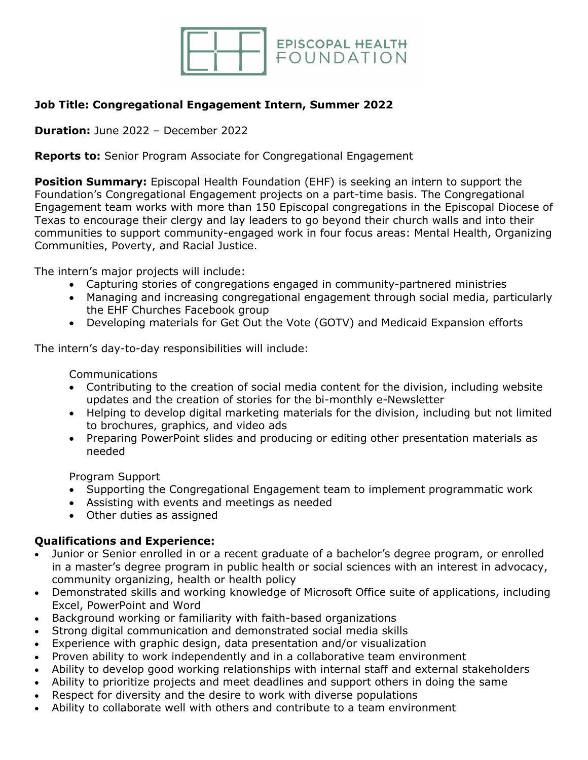

## **Job Title: Congregational Engagement Intern, Summer 2022**

**Duration:** June 2022 – December 2022

**Reports to:** Senior Program Associate for Congregational Engagement

**Position Summary:** Episcopal Health Foundation (EHF) is seeking an intern to support the Foundation's Congregational Engagement projects on a part-time basis. The Congregational Engagement team works with more than 150 Episcopal congregations in the Episcopal Diocese of Texas to encourage their clergy and lay leaders to go beyond their church walls and into their communities to support community-engaged work in four focus areas: Mental Health, Organizing Communities, Poverty, and Racial Justice.

The intern's major projects will include:

- Capturing stories of congregations engaged in community-partnered ministries
- Managing and increasing congregational engagement through social media, particularly the EHF Churches Facebook group
- Developing materials for Get Out the Vote (GOTV) and Medicaid Expansion efforts

The intern's day-to-day responsibilities will include:

Communications

- Contributing to the creation of social media content for the division, including website updates and the creation of stories for the bi-monthly e-Newsletter
- Helping to develop digital marketing materials for the division, including but not limited to brochures, graphics, and video ads
- Preparing PowerPoint slides and producing or editing other presentation materials as needed

Program Support

- Supporting the Congregational Engagement team to implement programmatic work
- Assisting with events and meetings as needed
- Other duties as assigned

## **Qualifications and Experience:**

- Junior or Senior enrolled in or a recent graduate of a bachelor's degree program, or enrolled in a master's degree program in public health or social sciences with an interest in advocacy, community organizing, health or health policy
- Demonstrated skills and working knowledge of Microsoft Office suite of applications, including Excel, PowerPoint and Word
- Background working or familiarity with faith-based organizations
- Strong digital communication and demonstrated social media skills
- Experience with graphic design, data presentation and/or visualization
- Proven ability to work independently and in a collaborative team environment
- Ability to develop good working relationships with internal staff and external stakeholders
- Ability to prioritize projects and meet deadlines and support others in doing the same
- Respect for diversity and the desire to work with diverse populations
- Ability to collaborate well with others and contribute to a team environment